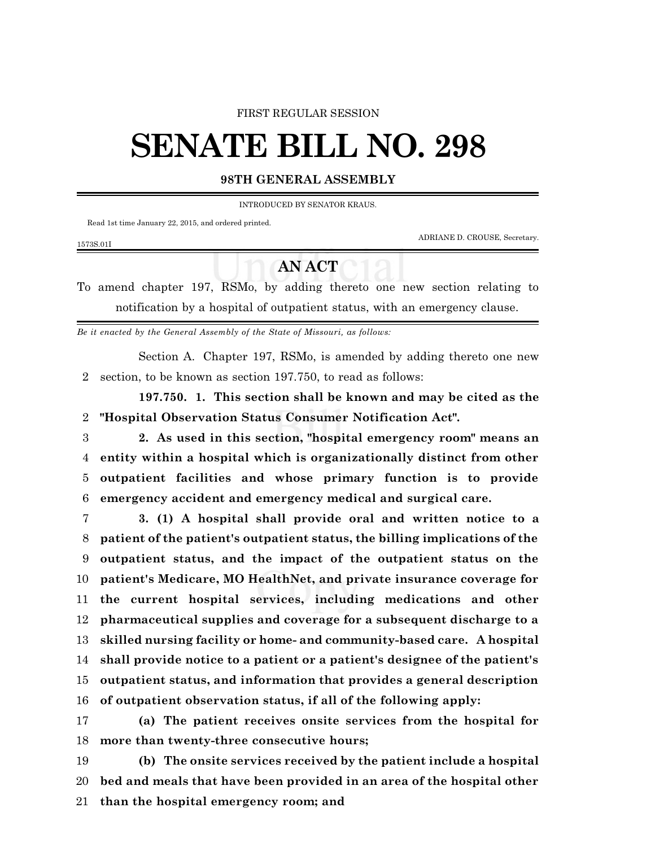## FIRST REGULAR SESSION

## **SENATE BILL NO. 298**

## **98TH GENERAL ASSEMBLY**

INTRODUCED BY SENATOR KRAUS.

Read 1st time January 22, 2015, and ordered printed.

1573S.01I

ADRIANE D. CROUSE, Secretary.

## **AN ACT**

To amend chapter 197, RSMo, by adding thereto one new section relating to notification by a hospital of outpatient status, with an emergency clause.

*Be it enacted by the General Assembly of the State of Missouri, as follows:*

Section A. Chapter 197, RSMo, is amended by adding thereto one new section, to be known as section 197.750, to read as follows:

**197.750. 1. This section shall be known and may be cited as the "Hospital Observation Status Consumer Notification Act".**

 **2. As used in this section, "hospital emergency room" means an entity within a hospital which is organizationally distinct from other outpatient facilities and whose primary function is to provide emergency accident and emergency medical and surgical care.**

 **3. (1) A hospital shall provide oral and written notice to a patient of the patient's outpatient status, the billing implications of the outpatient status, and the impact of the outpatient status on the patient's Medicare, MO HealthNet, and private insurance coverage for the current hospital services, including medications and other pharmaceutical supplies and coverage for a subsequent discharge to a skilled nursing facility or home- and community-based care. A hospital shall provide notice to a patient or a patient's designee of the patient's outpatient status, and information that provides a general description of outpatient observation status, if all of the following apply:**

 **(a) The patient receives onsite services from the hospital for more than twenty-three consecutive hours;**

 **(b) The onsite services received by the patient include a hospital bed and meals that have been provided in an area of the hospital other than the hospital emergency room; and**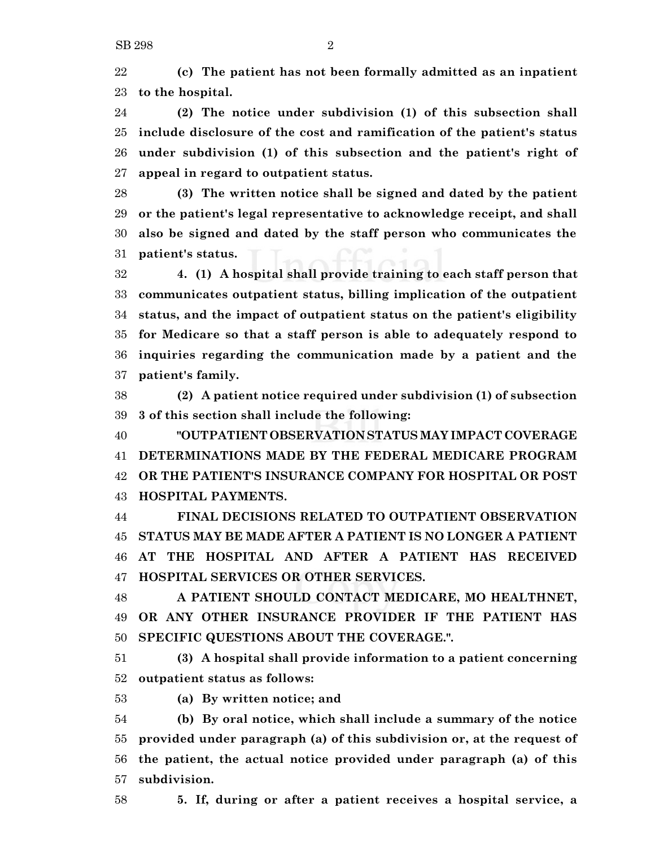**(c) The patient has not been formally admitted as an inpatient to the hospital.**

 **(2) The notice under subdivision (1) of this subsection shall include disclosure of the cost and ramification of the patient's status under subdivision (1) of this subsection and the patient's right of appeal in regard to outpatient status.**

 **(3) The written notice shall be signed and dated by the patient or the patient's legal representative to acknowledge receipt, and shall also be signed and dated by the staff person who communicates the patient's status.**

 **4. (1) A hospital shall provide training to each staff person that communicates outpatient status, billing implication of the outpatient status, and the impact of outpatient status on the patient's eligibility for Medicare so that a staff person is able to adequately respond to inquiries regarding the communication made by a patient and the patient's family.**

 **(2) A patient notice required under subdivision (1) of subsection 3 of this section shall include the following:**

 **"OUTPATIENT OBSERVATION STATUS MAY IMPACT COVERAGE DETERMINATIONS MADE BY THE FEDERAL MEDICARE PROGRAM OR THE PATIENT'S INSURANCE COMPANY FOR HOSPITAL OR POST HOSPITAL PAYMENTS.**

 **FINAL DECISIONS RELATED TO OUTPATIENT OBSERVATION STATUS MAY BE MADE AFTER A PATIENT IS NO LONGER A PATIENT AT THE HOSPITAL AND AFTER A PATIENT HAS RECEIVED HOSPITAL SERVICES OR OTHER SERVICES.**

 **A PATIENT SHOULD CONTACT MEDICARE, MO HEALTHNET, OR ANY OTHER INSURANCE PROVIDER IF THE PATIENT HAS SPECIFIC QUESTIONS ABOUT THE COVERAGE.".**

 **(3) A hospital shall provide information to a patient concerning outpatient status as follows:**

**(a) By written notice; and**

 **(b) By oral notice, which shall include a summary of the notice provided under paragraph (a) of this subdivision or, at the request of the patient, the actual notice provided under paragraph (a) of this subdivision.**

**5. If, during or after a patient receives a hospital service, a**